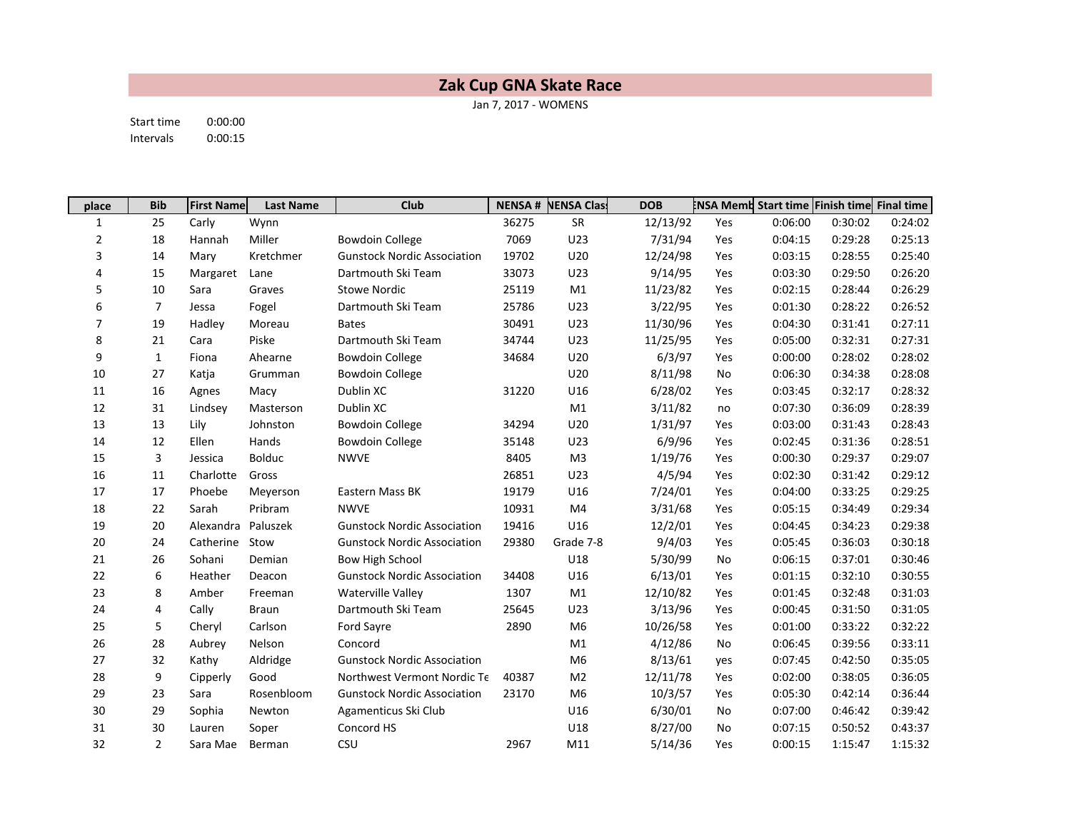## Zak Cup GNA Skate Race

Jan 7, 2017 - WOMENS

Start time 0:00:00 Intervals 0:00:15

| place          | <b>Bib</b>     | <b>First Name</b> | <b>Last Name</b> | <b>Club</b>                        | <b>NENSA#</b> | NENSA Class    | <b>DOB</b> |     |         | <b>ENSA Memb Start time Finish time Final time</b> |         |
|----------------|----------------|-------------------|------------------|------------------------------------|---------------|----------------|------------|-----|---------|----------------------------------------------------|---------|
| 1              | 25             | Carly             | Wynn             |                                    | 36275         | SR             | 12/13/92   | Yes | 0:06:00 | 0:30:02                                            | 0:24:02 |
| $\overline{2}$ | 18             | Hannah            | Miller           | <b>Bowdoin College</b>             | 7069          | U23            | 7/31/94    | Yes | 0:04:15 | 0:29:28                                            | 0:25:13 |
| 3              | 14             | Mary              | Kretchmer        | <b>Gunstock Nordic Association</b> | 19702         | U20            | 12/24/98   | Yes | 0:03:15 | 0:28:55                                            | 0:25:40 |
| 4              | 15             | Margaret          | Lane             | Dartmouth Ski Team                 | 33073         | U23            | 9/14/95    | Yes | 0:03:30 | 0:29:50                                            | 0:26:20 |
| 5              | 10             | Sara              | Graves           | <b>Stowe Nordic</b>                | 25119         | M1             | 11/23/82   | Yes | 0:02:15 | 0:28:44                                            | 0:26:29 |
| 6              | $\overline{7}$ | Jessa             | Fogel            | Dartmouth Ski Team                 | 25786         | U23            | 3/22/95    | Yes | 0:01:30 | 0:28:22                                            | 0:26:52 |
| 7              | 19             | Hadley            | Moreau           | <b>Bates</b>                       | 30491         | U23            | 11/30/96   | Yes | 0:04:30 | 0:31:41                                            | 0:27:11 |
| 8              | 21             | Cara              | Piske            | Dartmouth Ski Team                 | 34744         | U23            | 11/25/95   | Yes | 0:05:00 | 0:32:31                                            | 0:27:31 |
| 9              | $\mathbf{1}$   | Fiona             | Ahearne          | <b>Bowdoin College</b>             | 34684         | U20            | 6/3/97     | Yes | 0:00:00 | 0:28:02                                            | 0:28:02 |
| 10             | 27             | Katja             | Grumman          | <b>Bowdoin College</b>             |               | U20            | 8/11/98    | No  | 0:06:30 | 0:34:38                                            | 0:28:08 |
| 11             | 16             | Agnes             | Macy             | Dublin XC                          | 31220         | U16            | 6/28/02    | Yes | 0:03:45 | 0:32:17                                            | 0:28:32 |
| 12             | 31             | Lindsey           | Masterson        | Dublin XC                          |               | M1             | 3/11/82    | no  | 0:07:30 | 0:36:09                                            | 0:28:39 |
| 13             | 13             | Lily              | Johnston         | <b>Bowdoin College</b>             | 34294         | U20            | 1/31/97    | Yes | 0:03:00 | 0:31:43                                            | 0:28:43 |
| 14             | 12             | Ellen             | Hands            | <b>Bowdoin College</b>             | 35148         | U23            | 6/9/96     | Yes | 0:02:45 | 0:31:36                                            | 0:28:51 |
| 15             | 3              | Jessica           | <b>Bolduc</b>    | <b>NWVE</b>                        | 8405          | M <sub>3</sub> | 1/19/76    | Yes | 0:00:30 | 0:29:37                                            | 0:29:07 |
| 16             | 11             | Charlotte         | Gross            |                                    | 26851         | U23            | 4/5/94     | Yes | 0:02:30 | 0:31:42                                            | 0:29:12 |
| 17             | 17             | Phoebe            | Meyerson         | Eastern Mass BK                    | 19179         | U16            | 7/24/01    | Yes | 0:04:00 | 0:33:25                                            | 0:29:25 |
| 18             | 22             | Sarah             | Pribram          | <b>NWVE</b>                        | 10931         | M4             | 3/31/68    | Yes | 0:05:15 | 0:34:49                                            | 0:29:34 |
| 19             | 20             | Alexandra         | Paluszek         | <b>Gunstock Nordic Association</b> | 19416         | U16            | 12/2/01    | Yes | 0:04:45 | 0:34:23                                            | 0:29:38 |
| 20             | 24             | Catherine Stow    |                  | <b>Gunstock Nordic Association</b> | 29380         | Grade 7-8      | 9/4/03     | Yes | 0:05:45 | 0:36:03                                            | 0:30:18 |
| 21             | 26             | Sohani            | Demian           | <b>Bow High School</b>             |               | U18            | 5/30/99    | No  | 0:06:15 | 0:37:01                                            | 0:30:46 |
| 22             | 6              | Heather           | Deacon           | <b>Gunstock Nordic Association</b> | 34408         | U16            | 6/13/01    | Yes | 0:01:15 | 0:32:10                                            | 0:30:55 |
| 23             | 8              | Amber             | Freeman          | Waterville Valley                  | 1307          | M1             | 12/10/82   | Yes | 0:01:45 | 0:32:48                                            | 0:31:03 |
| 24             | 4              | Cally             | <b>Braun</b>     | Dartmouth Ski Team                 | 25645         | U23            | 3/13/96    | Yes | 0:00:45 | 0:31:50                                            | 0:31:05 |
| 25             | 5              | Cheryl            | Carlson          | <b>Ford Sayre</b>                  | 2890          | M <sub>6</sub> | 10/26/58   | Yes | 0:01:00 | 0:33:22                                            | 0:32:22 |
| 26             | 28             | Aubrey            | Nelson           | Concord                            |               | M1             | 4/12/86    | No  | 0:06:45 | 0:39:56                                            | 0:33:11 |
| 27             | 32             | Kathy             | Aldridge         | <b>Gunstock Nordic Association</b> |               | M <sub>6</sub> | 8/13/61    | yes | 0:07:45 | 0:42:50                                            | 0:35:05 |
| 28             | 9              | Cipperly          | Good             | Northwest Vermont Nordic Te        | 40387         | M <sub>2</sub> | 12/11/78   | Yes | 0:02:00 | 0:38:05                                            | 0:36:05 |
| 29             | 23             | Sara              | Rosenbloom       | <b>Gunstock Nordic Association</b> | 23170         | M <sub>6</sub> | 10/3/57    | Yes | 0:05:30 | 0:42:14                                            | 0:36:44 |
| 30             | 29             | Sophia            | Newton           | Agamenticus Ski Club               |               | U16            | 6/30/01    | No  | 0:07:00 | 0:46:42                                            | 0:39:42 |
| 31             | 30             | Lauren            | Soper            | Concord HS                         |               | U18            | 8/27/00    | No  | 0:07:15 | 0:50:52                                            | 0:43:37 |
| 32             | $\overline{2}$ | Sara Mae          | Berman           | CSU                                | 2967          | M11            | 5/14/36    | Yes | 0:00:15 | 1:15:47                                            | 1:15:32 |